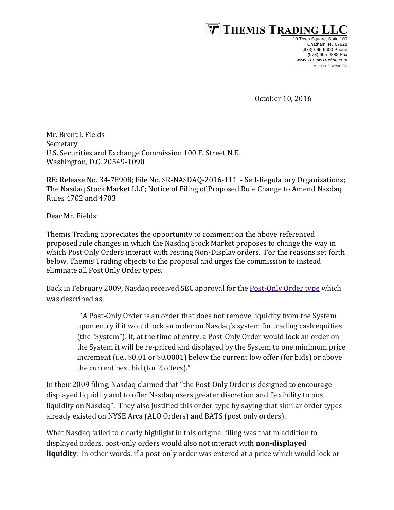

10 Town Square, Suite 100 Chatham, NJ 07928 (973) 665-9600 Phone (973) 665-9888 Fax *[www.ThemisTrading.com](http://www.themistrading.com/)* Member FINRA/SIPC

October 10, 2016

Mr. Brent J. Fields Secretary U.S. Securities and Exchange Commission 100 F. Street N.E. Washington, D.C. 20549-1090

**RE:** Release No. 34-78908; File No. SR-NASDAQ-2016-111 - Self-Regulatory Organizations; The Nasdaq Stock Market LLC; Notice of Filing of Proposed Rule Change to Amend Nasdaq Rules 4702 and 4703

Dear Mr. Fields:

Themis Trading appreciates the opportunity to comment on the above referenced proposed rule changes in which the Nasdaq Stock Market proposes to change the way in which Post Only Orders interact with resting Non-Display orders. For the reasons set forth below, Themis Trading objects to the proposal and urges the commission to instead eliminate all Post Only Order types.

Back in February 2009, Nasdaq received SEC approval for the [Post-Only Order type](https://www.sec.gov/rules/sro/nasdaq/2009/34-59392.pdf) which was described as:

> "A Post-Only Order is an order that does not remove liquidity from the System upon entry if it would lock an order on Nasdaq's system for trading cash equities (the "System"). If, at the time of entry, a Post-Only Order would lock an order on the System it will be re-priced and displayed by the System to one minimum price increment (i.e., \$0.01 or \$0.0001) below the current low offer (for bids) or above the current best bid (for 2 offers)."

In their 2009 filing, Nasdaq claimed that "the Post-Only Order is designed to encourage displayed liquidity and to offer Nasdaq users greater discretion and flexibility to post liquidity on Nasdaq". They also justified this order-type by saying that similar order types already existed on NYSE Arca (ALO Orders) and BATS (post only orders).

What Nasdaq failed to clearly highlight in this original filing was that in addition to displayed orders, post-only orders would also not interact with **non-displayed liquidity**. In other words, if a post-only order was entered at a price which would lock or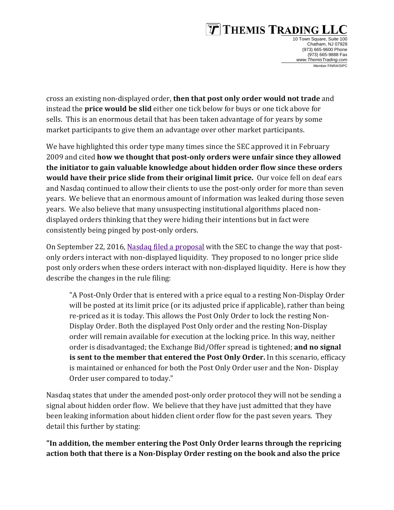# $\boxed{\overline{T}}$  THEMIS TRADING

10 Town Square, Suite 100 Chatham, NJ 07928 (973) 665-9600 Phone (973) 665-9888 Fax *[www.ThemisTrading.com](http://www.themistrading.com/)* Member FINRA/SIPC

cross an existing non-displayed order, **then that post only order would not trade** and instead the **price would be slid** either one tick below for buys or one tick above for sells. This is an enormous detail that has been taken advantage of for years by some market participants to give them an advantage over other market participants.

We have highlighted this order type many times since the SEC approved it in February 2009 and cited **how we thought that post-only orders were unfair since they allowed the initiator to gain valuable knowledge about hidden order flow since these orders would have their price slide from their original limit price.** Our voice fell on deaf ears and Nasdaq continued to allow their clients to use the post-only order for more than seven years. We believe that an enormous amount of information was leaked during those seven years. We also believe that many unsuspecting institutional algorithms placed nondisplayed orders thinking that they were hiding their intentions but in fact were consistently being pinged by post-only orders.

On September 22, 2016[, Nasdaq filed a proposal](https://www.sec.gov/rules/sro/nasdaq/2016/34-78908.pdf) with the SEC to change the way that postonly orders interact with non-displayed liquidity. They proposed to no longer price slide post only orders when these orders interact with non-displayed liquidity. Here is how they describe the changes in the rule filing:

"A Post-Only Order that is entered with a price equal to a resting Non-Display Order will be posted at its limit price (or its adjusted price if applicable), rather than being re-priced as it is today. This allows the Post Only Order to lock the resting Non-Display Order. Both the displayed Post Only order and the resting Non-Display order will remain available for execution at the locking price. In this way, neither order is disadvantaged; the Exchange Bid/Offer spread is tightened; **and no signal is sent to the member that entered the Post Only Order.** In this scenario, efficacy is maintained or enhanced for both the Post Only Order user and the Non- Display Order user compared to today."

Nasdaq states that under the amended post-only order protocol they will not be sending a signal about hidden order flow. We believe that they have just admitted that they have been leaking information about hidden client order flow for the past seven years. They detail this further by stating:

**"In addition, the member entering the Post Only Order learns through the repricing action both that there is a Non-Display Order resting on the book and also the price**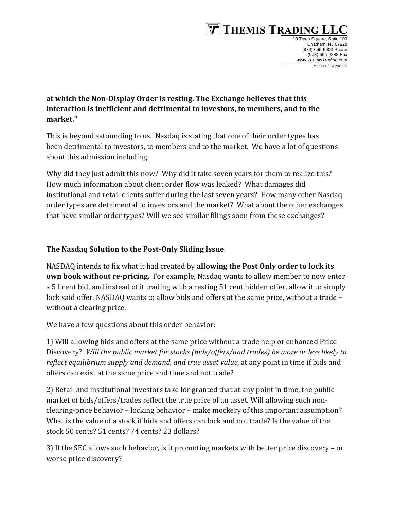# $\boxed{\overline{T}}$  Themis Trading

10 Town Square, Suite 100 Chatham, NJ 07928 (973) 665-9600 Phone (973) 665-9888 Fax *[www.ThemisTrading.com](http://www.themistrading.com/)* Member FINRA/SIPC

### **at which the Non-Display Order is resting. The Exchange believes that this interaction is inefficient and detrimental to investors, to members, and to the market."**

This is beyond astounding to us. Nasdaq is stating that one of their order types has been detrimental to investors, to members and to the market. We have a lot of questions about this admission including:

Why did they just admit this now? Why did it take seven years for them to realize this? How much information about client order flow was leaked? What damages did institutional and retail clients suffer during the last seven years? How many other Nasdaq order types are detrimental to investors and the market? What about the other exchanges that have similar order types? Will we see similar filings soon from these exchanges?

### **The Nasdaq Solution to the Post-Only Sliding Issue**

NASDAQ intends to fix what it had created by **allowing the Post Only order to lock its own book without re-pricing.** For example, Nasdaq wants to allow member to now enter a 51 cent bid, and instead of it trading with a resting 51 cent hidden offer, allow it to simply lock said offer. NASDAQ wants to allow bids and offers at the same price, without a trade – without a clearing price.

We have a few questions about this order behavior:

1) Will allowing bids and offers at the same price without a trade help or enhanced Price Discovery? *Will the public market for stocks (bids/offers/and trades) be more or less likely to reflect equilibrium supply and demand, and true asset value*, at any point in time if bids and offers can exist at the same price and time and not trade?

2) Retail and institutional investors take for granted that at any point in time, the public market of bids/offers/trades reflect the true price of an asset. Will allowing such nonclearing-price behavior – locking behavior – make mockery of this important assumption? What is the value of a stock if bids and offers can lock and not trade? Is the value of the stock 50 cents? 51 cents? 74 cents? 23 dollars?

3) If the SEC allows such behavior, is it promoting markets with better price discovery – or worse price discovery?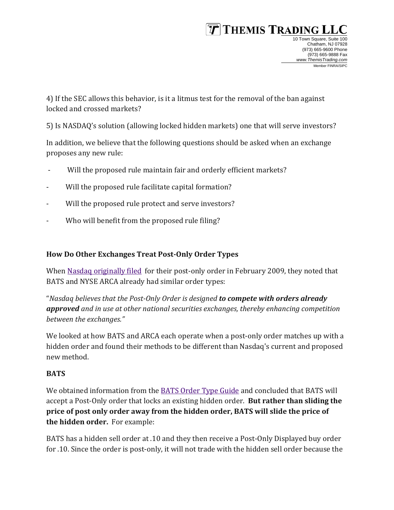# $\boxed{\mathcal{T}}$  Themis Trading 1

4) If the SEC allows this behavior, is it a litmus test for the removal of the ban against locked and crossed markets?

5) Is NASDAQ's solution (allowing locked hidden markets) one that will serve investors?

In addition, we believe that the following questions should be asked when an exchange proposes any new rule:

- Will the proposed rule maintain fair and orderly efficient markets?
- Will the proposed rule facilitate capital formation?
- Will the proposed rule protect and serve investors?
- Who will benefit from the proposed rule filing?

#### **How Do Other Exchanges Treat Post-Only Order Types**

When [Nasdaq originally filed](https://www.sec.gov/rules/sro/nasdaq/2009/34-59392.pdf) for their post-only order in February 2009, they noted that BATS and NYSE ARCA already had similar order types:

"*Nasdaq believes that the Post-Only Order is designed to compete with orders already approved and in use at other national securities exchanges, thereby enhancing competition between the exchanges."*

We looked at how BATS and ARCA each operate when a post-only order matches up with a hidden order and found their methods to be different than Nasdaq's current and proposed new method.

#### **BATS**

We obtained information from the [BATS Order Type Guide](http://www.brainshark.com/DCS/vu?pi=zHTzdnPSpz3QRKz0&nodesktopflash=1) and concluded that BATS will accept a Post-Only order that locks an existing hidden order. **But rather than sliding the price of post only order away from the hidden order, BATS will slide the price of the hidden order.** For example:

BATS has a hidden sell order at .10 and they then receive a Post-Only Displayed buy order for .10. Since the order is post-only, it will not trade with the hidden sell order because the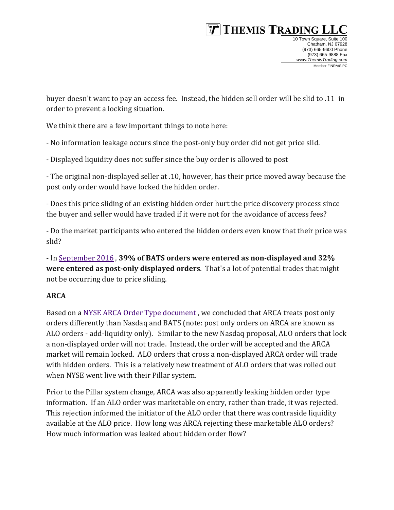### $\boxed{\mathcal{T}}$  Themis Trading 1 10 Town Square, Suite 100

 Chatham, NJ 07928 (973) 665-9600 Phone (973) 665-9888 Fax *[www.ThemisTrading.com](http://www.themistrading.com/)* Member FINRA/SIPC

buyer doesn't want to pay an access fee. Instead, the hidden sell order will be slid to .11 in order to prevent a locking situation.

We think there are a few important things to note here:

- No information leakage occurs since the post-only buy order did not get price slid.

- Displayed liquidity does not suffer since the buy order is allowed to post

- The original non-displayed seller at .10, however, has their price moved away because the post only order would have locked the hidden order.

- Does this price sliding of an existing hidden order hurt the price discovery process since the buyer and seller would have traded if it were not for the avoidance of access fees?

- Do the market participants who entered the hidden orders even know that their price was slid?

- In [September 2016](http://www.batstrading.com/market_data/order_types/) , **39% of BATS orders were entered as non-displayed and 32% were entered as post-only displayed orders**. That's a lot of potential trades that might not be occurring due to price sliding.

### **ARCA**

Based on [a NYSE ARCA Order Type document](https://www.nyse.com/publicdocs/nyse/markets/nyse/Pillar_Differences.pdf) , we concluded that ARCA treats post only orders differently than Nasdaq and BATS (note: post only orders on ARCA are known as ALO orders - add-liquidity only). Similar to the new Nasdaq proposal, ALO orders that lock a non-displayed order will not trade. Instead, the order will be accepted and the ARCA market will remain locked. ALO orders that cross a non-displayed ARCA order will trade with hidden orders. This is a relatively new treatment of ALO orders that was rolled out when NYSE went live with their Pillar system.

Prior to the Pillar system change, ARCA was also apparently leaking hidden order type information. If an ALO order was marketable on entry, rather than trade, it was rejected. This rejection informed the initiator of the ALO order that there was contraside liquidity available at the ALO price. How long was ARCA rejecting these marketable ALO orders? How much information was leaked about hidden order flow?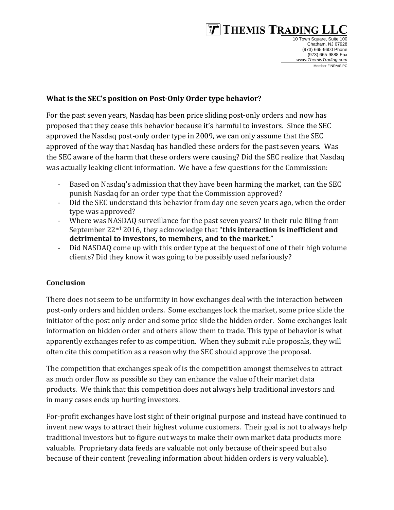# $\boxed{\overline{T}}$  Themis Trading ]

10 Town Square, Suite 100 Chatham, NJ 07928 (973) 665-9600 Phone (973) 665-9888 Fax *[www.ThemisTrading.com](http://www.themistrading.com/)* Member FINRA/SIPC

#### **What is the SEC's position on Post-Only Order type behavior?**

For the past seven years, Nasdaq has been price sliding post-only orders and now has proposed that they cease this behavior because it's harmful to investors. Since the SEC approved the Nasdaq post-only order type in 2009, we can only assume that the SEC approved of the way that Nasdaq has handled these orders for the past seven years. Was the SEC aware of the harm that these orders were causing? Did the SEC realize that Nasdaq was actually leaking client information. We have a few questions for the Commission:

- Based on Nasdaq's admission that they have been harming the market, can the SEC punish Nasdaq for an order type that the Commission approved?
- Did the SEC understand this behavior from day one seven years ago, when the order type was approved?
- Where was NASDAQ surveillance for the past seven years? In their rule filing from September 22nd 2016, they acknowledge that "**this interaction is inefficient and detrimental to investors, to members, and to the market."**
- Did NASDAQ come up with this order type at the bequest of one of their high volume clients? Did they know it was going to be possibly used nefariously?

### **Conclusion**

There does not seem to be uniformity in how exchanges deal with the interaction between post-only orders and hidden orders. Some exchanges lock the market, some price slide the initiator of the post only order and some price slide the hidden order. Some exchanges leak information on hidden order and others allow them to trade. This type of behavior is what apparently exchanges refer to as competition. When they submit rule proposals, they will often cite this competition as a reason why the SEC should approve the proposal.

The competition that exchanges speak of is the competition amongst themselves to attract as much order flow as possible so they can enhance the value of their market data products. We think that this competition does not always help traditional investors and in many cases ends up hurting investors.

For-profit exchanges have lost sight of their original purpose and instead have continued to invent new ways to attract their highest volume customers. Their goal is not to always help traditional investors but to figure out ways to make their own market data products more valuable. Proprietary data feeds are valuable not only because of their speed but also because of their content (revealing information about hidden orders is very valuable).